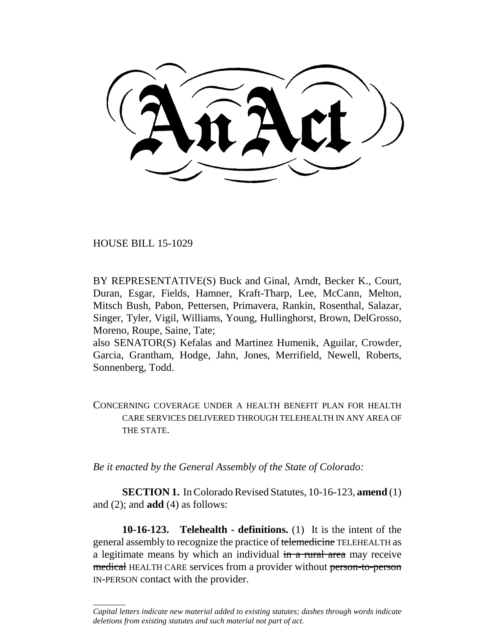HOUSE BILL 15-1029

\_\_\_\_\_\_\_\_

BY REPRESENTATIVE(S) Buck and Ginal, Arndt, Becker K., Court, Duran, Esgar, Fields, Hamner, Kraft-Tharp, Lee, McCann, Melton, Mitsch Bush, Pabon, Pettersen, Primavera, Rankin, Rosenthal, Salazar, Singer, Tyler, Vigil, Williams, Young, Hullinghorst, Brown, DelGrosso, Moreno, Roupe, Saine, Tate;

also SENATOR(S) Kefalas and Martinez Humenik, Aguilar, Crowder, Garcia, Grantham, Hodge, Jahn, Jones, Merrifield, Newell, Roberts, Sonnenberg, Todd.

CONCERNING COVERAGE UNDER A HEALTH BENEFIT PLAN FOR HEALTH CARE SERVICES DELIVERED THROUGH TELEHEALTH IN ANY AREA OF THE STATE.

*Be it enacted by the General Assembly of the State of Colorado:*

**SECTION 1.** In Colorado Revised Statutes, 10-16-123, **amend** (1) and (2); and **add** (4) as follows:

**10-16-123. Telehealth - definitions.** (1) It is the intent of the general assembly to recognize the practice of telemedicine TELEHEALTH as a legitimate means by which an individual in a rural area may receive medical HEALTH CARE services from a provider without person-to-person IN-PERSON contact with the provider.

*Capital letters indicate new material added to existing statutes; dashes through words indicate deletions from existing statutes and such material not part of act.*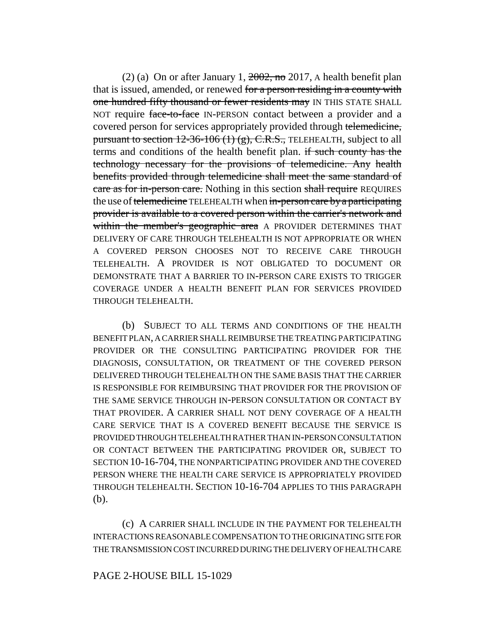(2) (a) On or after January 1,  $\frac{2002}{100}$ , no 2017, A health benefit plan that is issued, amended, or renewed for a person residing in a county with one hundred fifty thousand or fewer residents may IN THIS STATE SHALL NOT require face-to-face IN-PERSON contact between a provider and a covered person for services appropriately provided through telemedicine, pursuant to section  $12-36-106$  (1) (g), C.R.S., TELEHEALTH, subject to all terms and conditions of the health benefit plan. if such county has the technology necessary for the provisions of telemedicine. Any health benefits provided through telemedicine shall meet the same standard of care as for in-person care. Nothing in this section shall require REQUIRES the use of telemedicine TELEHEALTH when in-person care by a participating provider is available to a covered person within the carrier's network and within the member's geographic area A PROVIDER DETERMINES THAT DELIVERY OF CARE THROUGH TELEHEALTH IS NOT APPROPRIATE OR WHEN A COVERED PERSON CHOOSES NOT TO RECEIVE CARE THROUGH TELEHEALTH. A PROVIDER IS NOT OBLIGATED TO DOCUMENT OR DEMONSTRATE THAT A BARRIER TO IN-PERSON CARE EXISTS TO TRIGGER COVERAGE UNDER A HEALTH BENEFIT PLAN FOR SERVICES PROVIDED THROUGH TELEHEALTH.

(b) SUBJECT TO ALL TERMS AND CONDITIONS OF THE HEALTH BENEFIT PLAN, A CARRIER SHALL REIMBURSE THE TREATING PARTICIPATING PROVIDER OR THE CONSULTING PARTICIPATING PROVIDER FOR THE DIAGNOSIS, CONSULTATION, OR TREATMENT OF THE COVERED PERSON DELIVERED THROUGH TELEHEALTH ON THE SAME BASIS THAT THE CARRIER IS RESPONSIBLE FOR REIMBURSING THAT PROVIDER FOR THE PROVISION OF THE SAME SERVICE THROUGH IN-PERSON CONSULTATION OR CONTACT BY THAT PROVIDER. A CARRIER SHALL NOT DENY COVERAGE OF A HEALTH CARE SERVICE THAT IS A COVERED BENEFIT BECAUSE THE SERVICE IS PROVIDED THROUGH TELEHEALTH RATHER THAN IN-PERSON CONSULTATION OR CONTACT BETWEEN THE PARTICIPATING PROVIDER OR, SUBJECT TO SECTION 10-16-704, THE NONPARTICIPATING PROVIDER AND THE COVERED PERSON WHERE THE HEALTH CARE SERVICE IS APPROPRIATELY PROVIDED THROUGH TELEHEALTH. SECTION 10-16-704 APPLIES TO THIS PARAGRAPH (b).

(c) A CARRIER SHALL INCLUDE IN THE PAYMENT FOR TELEHEALTH INTERACTIONS REASONABLE COMPENSATION TO THE ORIGINATING SITE FOR THE TRANSMISSION COST INCURRED DURING THE DELIVERY OF HEALTH CARE

## PAGE 2-HOUSE BILL 15-1029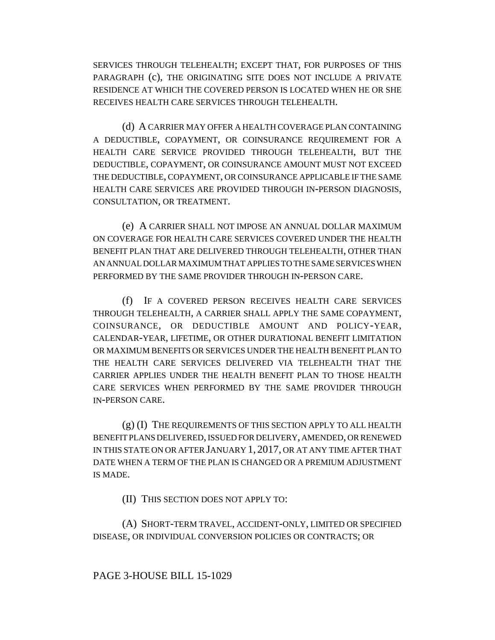SERVICES THROUGH TELEHEALTH; EXCEPT THAT, FOR PURPOSES OF THIS PARAGRAPH (c), THE ORIGINATING SITE DOES NOT INCLUDE A PRIVATE RESIDENCE AT WHICH THE COVERED PERSON IS LOCATED WHEN HE OR SHE RECEIVES HEALTH CARE SERVICES THROUGH TELEHEALTH.

(d) A CARRIER MAY OFFER A HEALTH COVERAGE PLAN CONTAINING A DEDUCTIBLE, COPAYMENT, OR COINSURANCE REQUIREMENT FOR A HEALTH CARE SERVICE PROVIDED THROUGH TELEHEALTH, BUT THE DEDUCTIBLE, COPAYMENT, OR COINSURANCE AMOUNT MUST NOT EXCEED THE DEDUCTIBLE, COPAYMENT, OR COINSURANCE APPLICABLE IF THE SAME HEALTH CARE SERVICES ARE PROVIDED THROUGH IN-PERSON DIAGNOSIS, CONSULTATION, OR TREATMENT.

(e) A CARRIER SHALL NOT IMPOSE AN ANNUAL DOLLAR MAXIMUM ON COVERAGE FOR HEALTH CARE SERVICES COVERED UNDER THE HEALTH BENEFIT PLAN THAT ARE DELIVERED THROUGH TELEHEALTH, OTHER THAN AN ANNUAL DOLLAR MAXIMUM THAT APPLIES TO THE SAME SERVICES WHEN PERFORMED BY THE SAME PROVIDER THROUGH IN-PERSON CARE.

(f) IF A COVERED PERSON RECEIVES HEALTH CARE SERVICES THROUGH TELEHEALTH, A CARRIER SHALL APPLY THE SAME COPAYMENT, COINSURANCE, OR DEDUCTIBLE AMOUNT AND POLICY-YEAR, CALENDAR-YEAR, LIFETIME, OR OTHER DURATIONAL BENEFIT LIMITATION OR MAXIMUM BENEFITS OR SERVICES UNDER THE HEALTH BENEFIT PLAN TO THE HEALTH CARE SERVICES DELIVERED VIA TELEHEALTH THAT THE CARRIER APPLIES UNDER THE HEALTH BENEFIT PLAN TO THOSE HEALTH CARE SERVICES WHEN PERFORMED BY THE SAME PROVIDER THROUGH IN-PERSON CARE.

(g) (I) THE REQUIREMENTS OF THIS SECTION APPLY TO ALL HEALTH BENEFIT PLANS DELIVERED, ISSUED FOR DELIVERY, AMENDED, OR RENEWED IN THIS STATE ON OR AFTER JANUARY 1, 2017, OR AT ANY TIME AFTER THAT DATE WHEN A TERM OF THE PLAN IS CHANGED OR A PREMIUM ADJUSTMENT IS MADE.

(II) THIS SECTION DOES NOT APPLY TO:

(A) SHORT-TERM TRAVEL, ACCIDENT-ONLY, LIMITED OR SPECIFIED DISEASE, OR INDIVIDUAL CONVERSION POLICIES OR CONTRACTS; OR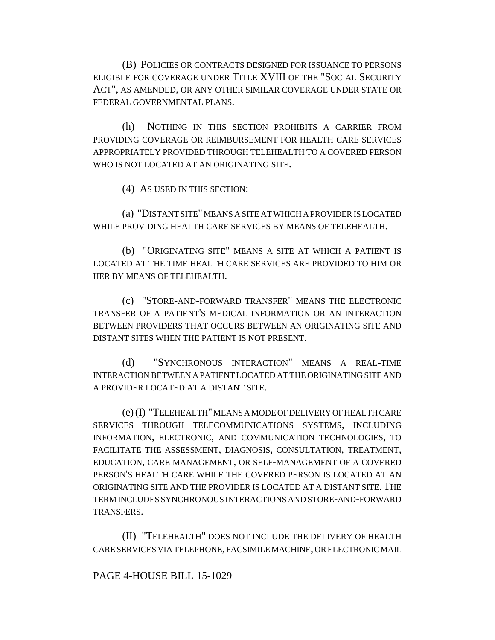(B) POLICIES OR CONTRACTS DESIGNED FOR ISSUANCE TO PERSONS ELIGIBLE FOR COVERAGE UNDER TITLE XVIII OF THE "SOCIAL SECURITY ACT", AS AMENDED, OR ANY OTHER SIMILAR COVERAGE UNDER STATE OR FEDERAL GOVERNMENTAL PLANS.

(h) NOTHING IN THIS SECTION PROHIBITS A CARRIER FROM PROVIDING COVERAGE OR REIMBURSEMENT FOR HEALTH CARE SERVICES APPROPRIATELY PROVIDED THROUGH TELEHEALTH TO A COVERED PERSON WHO IS NOT LOCATED AT AN ORIGINATING SITE.

(4) AS USED IN THIS SECTION:

(a) "DISTANT SITE" MEANS A SITE AT WHICH A PROVIDER IS LOCATED WHILE PROVIDING HEALTH CARE SERVICES BY MEANS OF TELEHEALTH.

(b) "ORIGINATING SITE" MEANS A SITE AT WHICH A PATIENT IS LOCATED AT THE TIME HEALTH CARE SERVICES ARE PROVIDED TO HIM OR HER BY MEANS OF TELEHEALTH.

(c) "STORE-AND-FORWARD TRANSFER" MEANS THE ELECTRONIC TRANSFER OF A PATIENT'S MEDICAL INFORMATION OR AN INTERACTION BETWEEN PROVIDERS THAT OCCURS BETWEEN AN ORIGINATING SITE AND DISTANT SITES WHEN THE PATIENT IS NOT PRESENT.

(d) "SYNCHRONOUS INTERACTION" MEANS A REAL-TIME INTERACTION BETWEEN A PATIENT LOCATED AT THE ORIGINATING SITE AND A PROVIDER LOCATED AT A DISTANT SITE.

(e) (I) "TELEHEALTH" MEANS A MODE OF DELIVERY OF HEALTH CARE SERVICES THROUGH TELECOMMUNICATIONS SYSTEMS, INCLUDING INFORMATION, ELECTRONIC, AND COMMUNICATION TECHNOLOGIES, TO FACILITATE THE ASSESSMENT, DIAGNOSIS, CONSULTATION, TREATMENT, EDUCATION, CARE MANAGEMENT, OR SELF-MANAGEMENT OF A COVERED PERSON'S HEALTH CARE WHILE THE COVERED PERSON IS LOCATED AT AN ORIGINATING SITE AND THE PROVIDER IS LOCATED AT A DISTANT SITE. THE TERM INCLUDES SYNCHRONOUS INTERACTIONS AND STORE-AND-FORWARD TRANSFERS.

(II) "TELEHEALTH" DOES NOT INCLUDE THE DELIVERY OF HEALTH CARE SERVICES VIA TELEPHONE, FACSIMILE MACHINE, OR ELECTRONIC MAIL

## PAGE 4-HOUSE BILL 15-1029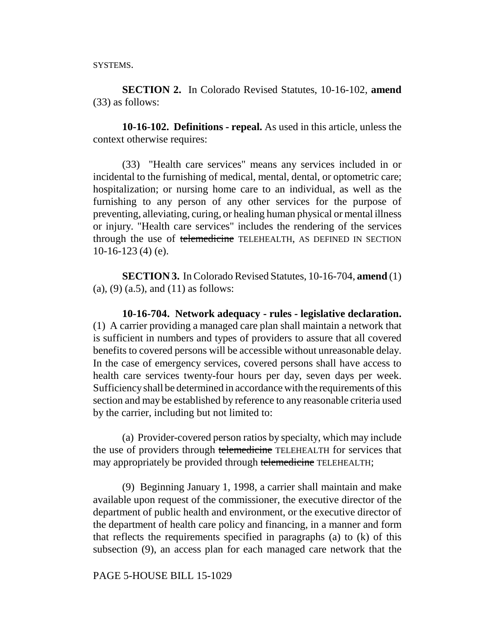SYSTEMS.

**SECTION 2.** In Colorado Revised Statutes, 10-16-102, **amend** (33) as follows:

**10-16-102. Definitions - repeal.** As used in this article, unless the context otherwise requires:

(33) "Health care services" means any services included in or incidental to the furnishing of medical, mental, dental, or optometric care; hospitalization; or nursing home care to an individual, as well as the furnishing to any person of any other services for the purpose of preventing, alleviating, curing, or healing human physical or mental illness or injury. "Health care services" includes the rendering of the services through the use of telemedicine TELEHEALTH, AS DEFINED IN SECTION 10-16-123 (4) (e).

**SECTION 3.** In Colorado Revised Statutes, 10-16-704, **amend** (1)  $(a)$ ,  $(9)$   $(a.5)$ , and  $(11)$  as follows:

**10-16-704. Network adequacy - rules - legislative declaration.** (1) A carrier providing a managed care plan shall maintain a network that is sufficient in numbers and types of providers to assure that all covered benefits to covered persons will be accessible without unreasonable delay. In the case of emergency services, covered persons shall have access to health care services twenty-four hours per day, seven days per week. Sufficiency shall be determined in accordance with the requirements of this section and may be established by reference to any reasonable criteria used by the carrier, including but not limited to:

(a) Provider-covered person ratios by specialty, which may include the use of providers through telemedicine TELEHEALTH for services that may appropriately be provided through telemedicine TELEHEALTH;

(9) Beginning January 1, 1998, a carrier shall maintain and make available upon request of the commissioner, the executive director of the department of public health and environment, or the executive director of the department of health care policy and financing, in a manner and form that reflects the requirements specified in paragraphs (a) to (k) of this subsection (9), an access plan for each managed care network that the

## PAGE 5-HOUSE BILL 15-1029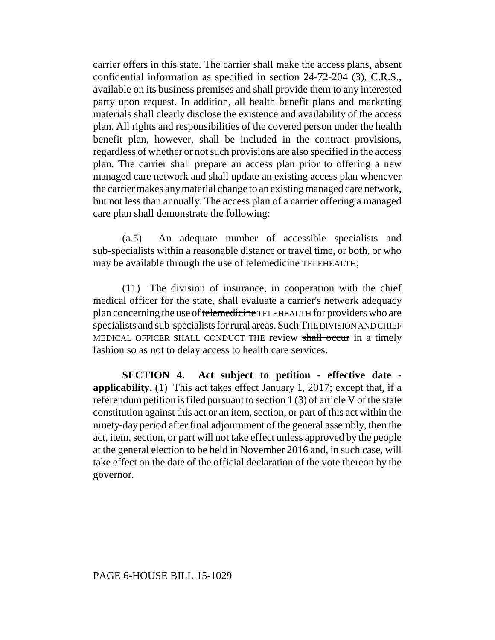carrier offers in this state. The carrier shall make the access plans, absent confidential information as specified in section 24-72-204 (3), C.R.S., available on its business premises and shall provide them to any interested party upon request. In addition, all health benefit plans and marketing materials shall clearly disclose the existence and availability of the access plan. All rights and responsibilities of the covered person under the health benefit plan, however, shall be included in the contract provisions, regardless of whether or not such provisions are also specified in the access plan. The carrier shall prepare an access plan prior to offering a new managed care network and shall update an existing access plan whenever the carrier makes any material change to an existing managed care network, but not less than annually. The access plan of a carrier offering a managed care plan shall demonstrate the following:

(a.5) An adequate number of accessible specialists and sub-specialists within a reasonable distance or travel time, or both, or who may be available through the use of telemedicine TELEHEALTH;

(11) The division of insurance, in cooperation with the chief medical officer for the state, shall evaluate a carrier's network adequacy plan concerning the use of telemedicine TELEHEALTH for providers who are specialists and sub-specialists for rural areas. Such THE DIVISION AND CHIEF MEDICAL OFFICER SHALL CONDUCT THE review shall occur in a timely fashion so as not to delay access to health care services.

**SECTION 4. Act subject to petition - effective date applicability.** (1) This act takes effect January 1, 2017; except that, if a referendum petition is filed pursuant to section 1 (3) of article V of the state constitution against this act or an item, section, or part of this act within the ninety-day period after final adjournment of the general assembly, then the act, item, section, or part will not take effect unless approved by the people at the general election to be held in November 2016 and, in such case, will take effect on the date of the official declaration of the vote thereon by the governor.